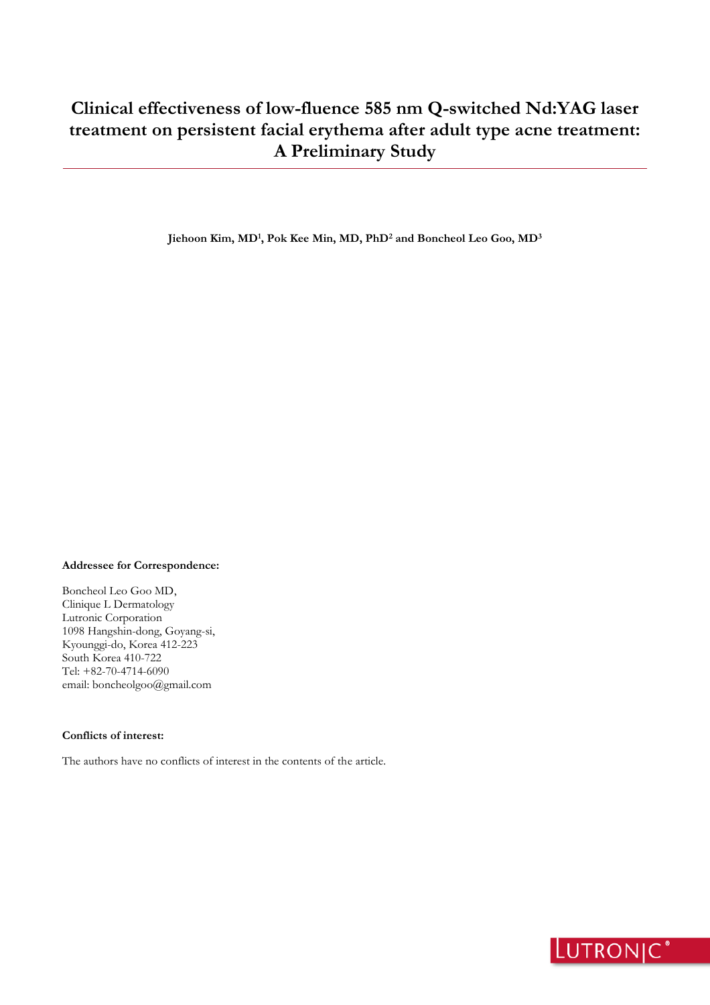**Jiehoon Kim, MD<sup>1</sup> , Pok Kee Min, MD, PhD<sup>2</sup> and Boncheol Leo Goo, MD<sup>3</sup>**

#### **Addressee for Correspondence:**

Boncheol Leo Goo MD, Clinique L Dermatology Lutronic Corporation 1098 Hangshin-dong, Goyang-si, Kyounggi-do, Korea 412-223 South Korea 410-722 Tel: +82-70-4714-6090 email: boncheolgoo@gmail.com

## **Conflicts of interest:**

The authors have no conflicts of interest in the contents of the article.

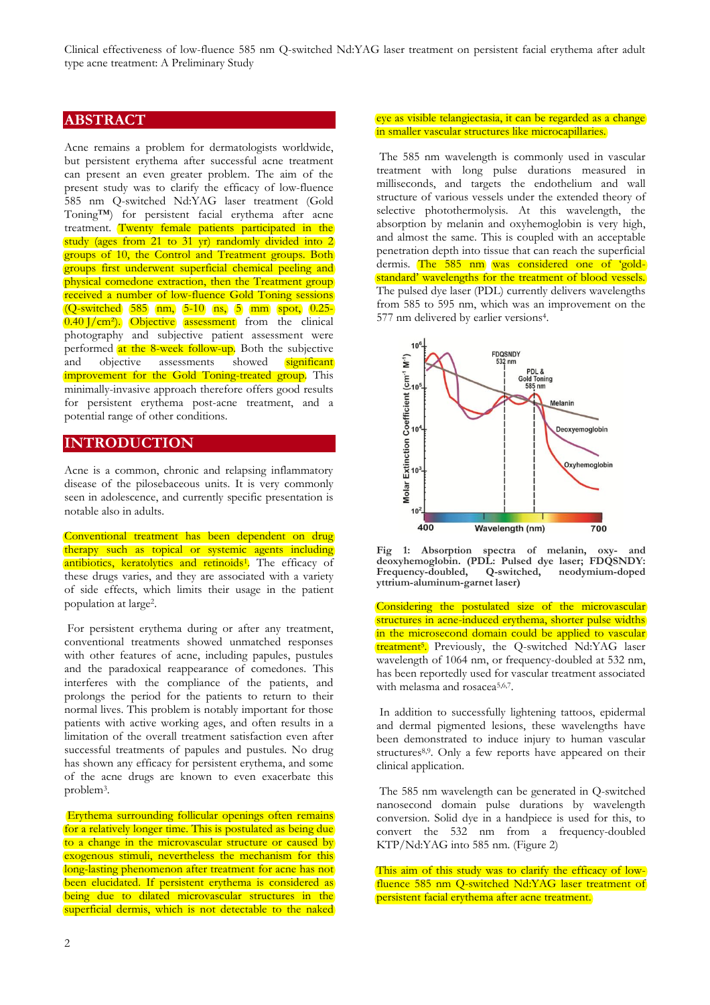## **ABSTRACT**

Acne remains a problem for dermatologists worldwide, but persistent erythema after successful acne treatment can present an even greater problem. The aim of the present study was to clarify the efficacy of low-fluence 585 nm Q-switched Nd:YAG laser treatment (Gold Toning™) for persistent facial erythema after acne treatment. Twenty female patients participated in the study (ages from 21 to 31 yr) randomly divided into 2 groups of 10, the Control and Treatment groups. Both groups first underwent superficial chemical peeling and physical comedone extraction, then the Treatment group received a number of low-fluence Gold Toning sessions (Q-switched 585 nm, 5-10 ns, 5 mm spot, 0.25- 0.40 J/cm<sup>2</sup>). Objective assessment from the clinical photography and subjective patient assessment were performed at the 8-week follow-up. Both the subjective and objective assessments showed significant and objective assessments showed improvement for the Gold Toning-treated group. This minimally-invasive approach therefore offers good results for persistent erythema post-acne treatment, and a potential range of other conditions.

# **INTRODUCTION**

Acne is a common, chronic and relapsing inflammatory disease of the pilosebaceous units. It is very commonly seen in adolescence, and currently specific presentation is notable also in adults.

Conventional treatment has been dependent on drug therapy such as topical or systemic agents including antibiotics, keratolytics and retinoids<sup>1</sup>. The efficacy of these drugs varies, and they are associated with a variety of side effects, which limits their usage in the patient population at large<sup>2</sup> .

For persistent erythema during or after any treatment, conventional treatments showed unmatched responses with other features of acne, including papules, pustules and the paradoxical reappearance of comedones. This interferes with the compliance of the patients, and prolongs the period for the patients to return to their normal lives. This problem is notably important for those patients with active working ages, and often results in a limitation of the overall treatment satisfaction even after successful treatments of papules and pustules. No drug has shown any efficacy for persistent erythema, and some of the acne drugs are known to even exacerbate this problem<sup>3</sup> .

Erythema surrounding follicular openings often remains for a relatively longer time. This is postulated as being due to a change in the microvascular structure or caused by exogenous stimuli, nevertheless the mechanism for this long-lasting phenomenon after treatment for acne has not been elucidated. If persistent erythema is considered as being due to dilated microvascular structures in the superficial dermis, which is not detectable to the naked

#### eye as visible telangiectasia, it can be regarded as a change in smaller vascular structures like microcapillaries.

The 585 nm wavelength is commonly used in vascular treatment with long pulse durations measured in milliseconds, and targets the endothelium and wall structure of various vessels under the extended theory of selective photothermolysis. At this wavelength, the absorption by melanin and oxyhemoglobin is very high, and almost the same. This is coupled with an acceptable penetration depth into tissue that can reach the superficial dermis. The 585 nm was considered one of 'goldstandard' wavelengths for the treatment of blood vessels. The pulsed dye laser (PDL) currently delivers wavelengths from 585 to 595 nm, which was an improvement on the 577 nm delivered by earlier versions<sup>4</sup>.



**Fig 1: Absorption spectra of melanin, oxy- and deoxyhemoglobin. (PDL: Pulsed dye laser; FDQSNDY:**  Frequency-doubled, **yttrium-aluminum-garnet laser)**

Considering the postulated size of the microvascular structures in acne-induced erythema, shorter pulse widths in the microsecond domain could be applied to vascular treatment<sup>5</sup>. Previously, the Q-switched Nd:YAG laser wavelength of 1064 nm, or frequency-doubled at 532 nm, has been reportedly used for vascular treatment associated with melasma and rosacea<sup>5,6,7</sup>.

In addition to successfully lightening tattoos, epidermal and dermal pigmented lesions, these wavelengths have been demonstrated to induce injury to human vascular structures<sup>8,9</sup>. Only a few reports have appeared on their clinical application.

The 585 nm wavelength can be generated in Q-switched nanosecond domain pulse durations by wavelength conversion. Solid dye in a handpiece is used for this, to convert the 532 nm from a frequency-doubled KTP/Nd:YAG into 585 nm. (Figure 2)

This aim of this study was to clarify the efficacy of lowfluence 585 nm Q-switched Nd:YAG laser treatment of persistent facial erythema after acne treatment.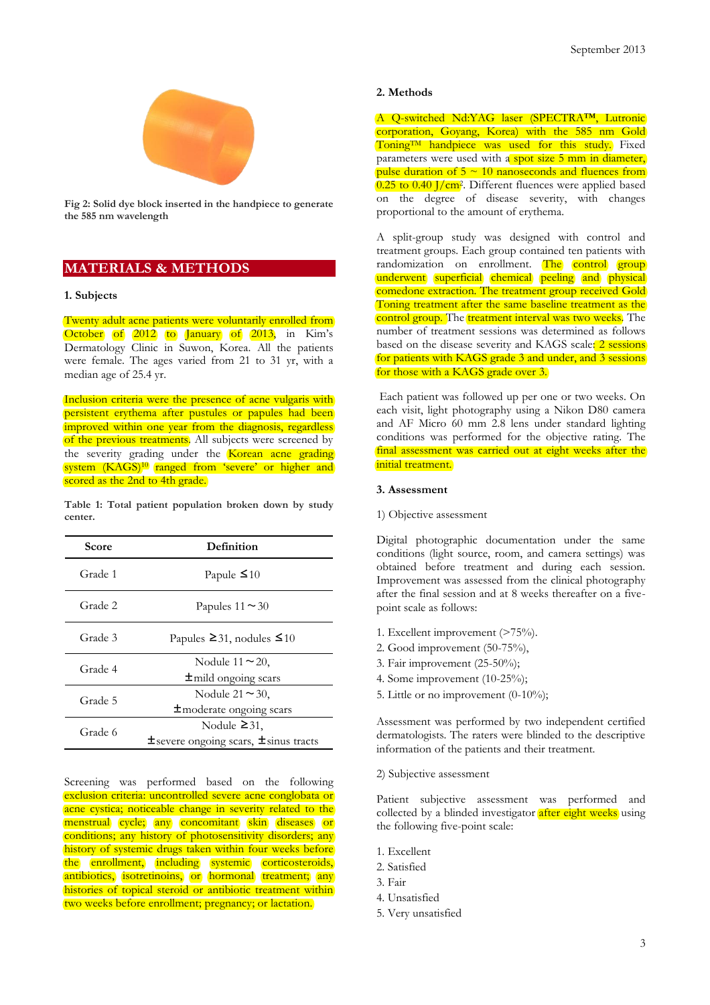

**Fig 2: Solid dye block inserted in the handpiece to generate the 585 nm wavelength**

# **MATERIALS & METHODS**

### **1. Subjects**

Twenty adult acne patients were voluntarily enrolled from October of 2012 to January of 2013, in Kim's Dermatology Clinic in Suwon, Korea. All the patients were female. The ages varied from 21 to 31 yr, with a median age of 25.4 yr.

Inclusion criteria were the presence of acne vulgaris with persistent erythema after pustules or papules had been improved within one year from the diagnosis, regardless of the previous treatments. All subjects were screened by the severity grading under the Korean acne grading system (KAGS)<sup>10</sup> ranged from 'severe' or higher and scored as the 2nd to 4th grade.

**Table 1: Total patient population broken down by study center.**

| Score   | Definition                                                           |  |  |
|---------|----------------------------------------------------------------------|--|--|
| Grade 1 | Papule $\leq 10$                                                     |  |  |
| Grade 2 | Papules $11 \approx 30$                                              |  |  |
| Grade 3 | Papules $\geq 31$ , nodules $\leq 10$                                |  |  |
| Grade 4 | Nodule $11 \approx 20$ ,<br>$\pm$ mild ongoing scars                 |  |  |
| Grade 5 | Nodule $21 \approx 30$ ,<br>$\pm$ moderate ongoing scars             |  |  |
| Grade 6 | Nodule $\geq 31$ ,<br>$\pm$ severe ongoing scars, $\pm$ sinus tracts |  |  |

Screening was performed based on the following exclusion criteria: uncontrolled severe acne conglobata or acne cystica; noticeable change in severity related to the menstrual cycle; any concomitant skin diseases or conditions; any history of photosensitivity disorders; any history of systemic drugs taken within four weeks before the enrollment, including systemic corticosteroids, antibiotics, isotretinoins, or hormonal treatment; any histories of topical steroid or antibiotic treatment within two weeks before enrollment; pregnancy; or lactation.

#### **2. Methods**

A Q-switched Nd:YAG laser (SPECTRA™, Lutronic corporation, Goyang, Korea) with the 585 nm Gold Toning<sup>TM</sup> handpiece was used for this study. Fixed parameters were used with a spot size 5 mm in diameter, pulse duration of  $5 \sim 10$  nanoseconds and fluences from 0.25 to 0.40 J/cm<sup>2</sup>. Different fluences were applied based on the degree of disease severity, with changes proportional to the amount of erythema.

A split-group study was designed with control and treatment groups. Each group contained ten patients with randomization on enrollment. The control group underwent superficial chemical peeling and physical comedone extraction. The treatment group received Gold Toning treatment after the same baseline treatment as the control group. The treatment interval was two weeks. The number of treatment sessions was determined as follows based on the disease severity and KAGS scale: 2 sessions for patients with KAGS grade 3 and under, and 3 sessions for those with a KAGS grade over 3.

Each patient was followed up per one or two weeks. On each visit, light photography using a Nikon D80 camera and AF Micro 60 mm 2.8 lens under standard lighting conditions was performed for the objective rating. The final assessment was carried out at eight weeks after the initial treatment.

## **3. Assessment**

1) Objective assessment

Digital photographic documentation under the same conditions (light source, room, and camera settings) was obtained before treatment and during each session. Improvement was assessed from the clinical photography after the final session and at 8 weeks thereafter on a fivepoint scale as follows:

- 1. Excellent improvement (>75%).
- 2. Good improvement (50-75%),
- 3. Fair improvement (25-50%);
- 4. Some improvement (10-25%);
- 5. Little or no improvement (0-10%);

Assessment was performed by two independent certified dermatologists. The raters were blinded to the descriptive information of the patients and their treatment.

2) Subjective assessment

Patient subjective assessment was performed and collected by a blinded investigator after eight weeks using the following five-point scale:

- 1. Excellent
- 2. Satisfied
- 3. Fair
- 4. Unsatisfied
- 5. Very unsatisfied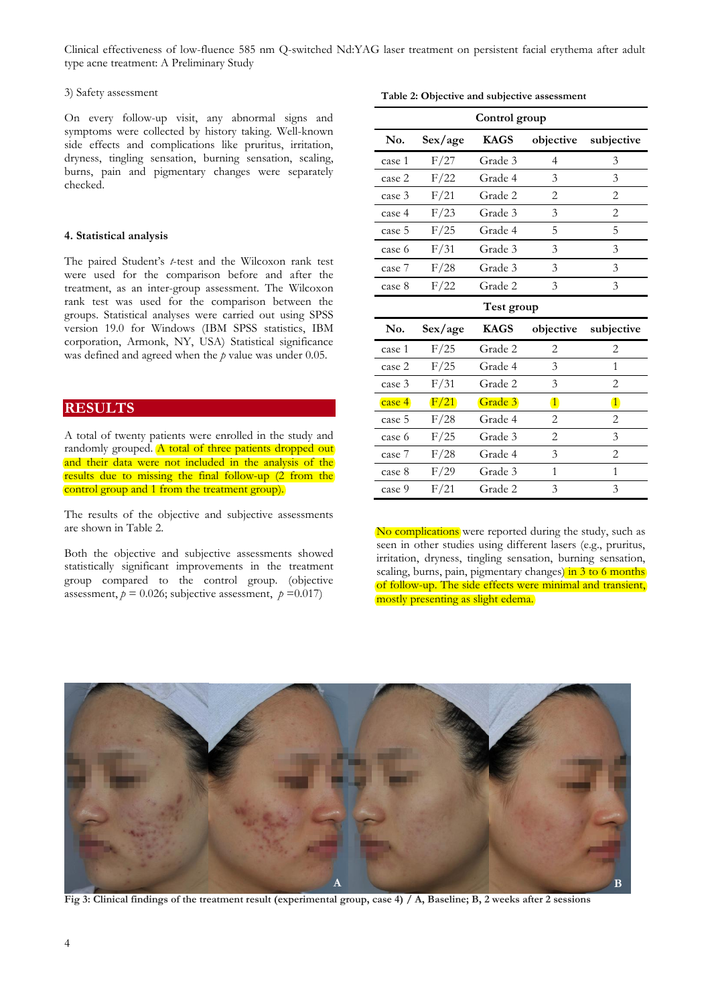#### 3) Safety assessment

On every follow-up visit, any abnormal signs and symptoms were collected by history taking. Well-known side effects and complications like pruritus, irritation, dryness, tingling sensation, burning sensation, scaling, burns, pain and pigmentary changes were separately checked.

#### **4. Statistical analysis**

The paired Student's *t*-test and the Wilcoxon rank test were used for the comparison before and after the treatment, as an inter-group assessment. The Wilcoxon rank test was used for the comparison between the groups. Statistical analyses were carried out using SPSS version 19.0 for Windows (IBM SPSS statistics, IBM corporation, Armonk, NY, USA) Statistical significance was defined and agreed when the *p* value was under 0.05.

## **RESULTS**

A total of twenty patients were enrolled in the study and randomly grouped. A total of three patients dropped out and their data were not included in the analysis of the results due to missing the final follow-up (2 from the control group and 1 from the treatment group).

The results of the objective and subjective assessments are shown in Table 2.

Both the objective and subjective assessments showed statistically significant improvements in the treatment group compared to the control group. (objective assessment,  $p = 0.026$ ; subjective assessment,  $p = 0.017$ )

**Table 2: Objective and subjective assessment**

| Control group |         |             |                                                                                                                                                                                                                                                                                                                                                                                                             |                |  |
|---------------|---------|-------------|-------------------------------------------------------------------------------------------------------------------------------------------------------------------------------------------------------------------------------------------------------------------------------------------------------------------------------------------------------------------------------------------------------------|----------------|--|
| No.           | Sex/age | <b>KAGS</b> | objective                                                                                                                                                                                                                                                                                                                                                                                                   | subjective     |  |
| case 1        | F/27    | Grade 3     | 4                                                                                                                                                                                                                                                                                                                                                                                                           | 3              |  |
| case 2        | F/22    | Grade 4     | 3                                                                                                                                                                                                                                                                                                                                                                                                           | 3              |  |
| case 3        | F/21    | Grade 2     | $\mathfrak{D}_{1}^{(1)} = \mathfrak{D}_{2}^{(1)} = \mathfrak{D}_{2}^{(1)} = \mathfrak{D}_{2}^{(1)} = \mathfrak{D}_{2}^{(1)} = \mathfrak{D}_{2}^{(1)} = \mathfrak{D}_{2}^{(1)} = \mathfrak{D}_{2}^{(1)} = \mathfrak{D}_{2}^{(1)} = \mathfrak{D}_{2}^{(1)} = \mathfrak{D}_{2}^{(1)} = \mathfrak{D}_{2}^{(1)} = \mathfrak{D}_{2}^{(1)} = \mathfrak{D}_{2}^{(1)} = \mathfrak{D}_{2}^{(1)} = \mathfrak{D}_{2}^{$ | $\overline{2}$ |  |
| case 4        | F/23    | Grade 3     | 3                                                                                                                                                                                                                                                                                                                                                                                                           | $\overline{2}$ |  |
| case 5        | F/25    | Grade 4     | 5                                                                                                                                                                                                                                                                                                                                                                                                           | 5              |  |
| case 6        | F/31    | Grade 3     | 3                                                                                                                                                                                                                                                                                                                                                                                                           | 3              |  |
| case 7        | F/28    | Grade 3     | 3                                                                                                                                                                                                                                                                                                                                                                                                           | 3              |  |
| case 8        | F/22    | Grade 2     | 3                                                                                                                                                                                                                                                                                                                                                                                                           | 3              |  |
| Test group    |         |             |                                                                                                                                                                                                                                                                                                                                                                                                             |                |  |
| No.           | Sex/age | <b>KAGS</b> | objective                                                                                                                                                                                                                                                                                                                                                                                                   | subjective     |  |
| case 1        | F/25    | Grade 2     | 2                                                                                                                                                                                                                                                                                                                                                                                                           | 2              |  |
| case 2        | F/25    | Grade 4     | 3                                                                                                                                                                                                                                                                                                                                                                                                           | 1              |  |
| case 3        | F/31    | Grade 2     | 3                                                                                                                                                                                                                                                                                                                                                                                                           | $\overline{2}$ |  |
| case 4        | F/21    | Grade 3     | $\mathbf{1}$                                                                                                                                                                                                                                                                                                                                                                                                | $\mathbf{1}$   |  |
| case 5        | F/28    | Grade 4     | $\mathfrak{D}$                                                                                                                                                                                                                                                                                                                                                                                              | $\overline{2}$ |  |
| case 6        | F/25    | Grade 3     | $\mathfrak{D}_{1}^{(1)} = \mathfrak{D}_{2}^{(1)} = \mathfrak{D}_{2}^{(1)} = \mathfrak{D}_{2}^{(1)} = \mathfrak{D}_{2}^{(1)} = \mathfrak{D}_{2}^{(1)} = \mathfrak{D}_{2}^{(1)} = \mathfrak{D}_{2}^{(1)} = \mathfrak{D}_{2}^{(1)} = \mathfrak{D}_{2}^{(1)} = \mathfrak{D}_{2}^{(1)} = \mathfrak{D}_{2}^{(1)} = \mathfrak{D}_{2}^{(1)} = \mathfrak{D}_{2}^{(1)} = \mathfrak{D}_{2}^{(1)} = \mathfrak{D}_{2}^{$ | 3              |  |
| case 7        | F/28    | Grade 4     | 3                                                                                                                                                                                                                                                                                                                                                                                                           | $\overline{2}$ |  |
| case 8        | F/29    | Grade 3     | 1                                                                                                                                                                                                                                                                                                                                                                                                           | 1              |  |
| case 9        | F/21    | Grade 2     | 3                                                                                                                                                                                                                                                                                                                                                                                                           | 3              |  |

No complications were reported during the study, such as seen in other studies using different lasers (e.g., pruritus, irritation, dryness, tingling sensation, burning sensation, scaling, burns, pain, pigmentary changes) in 3 to 6 months of follow-up. The side effects were minimal and transient, mostly presenting as slight edema.



**Fig 3: Clinical findings of the treatment result (experimental group, case 4) / A, Baseline; B, 2 weeks after 2 sessions**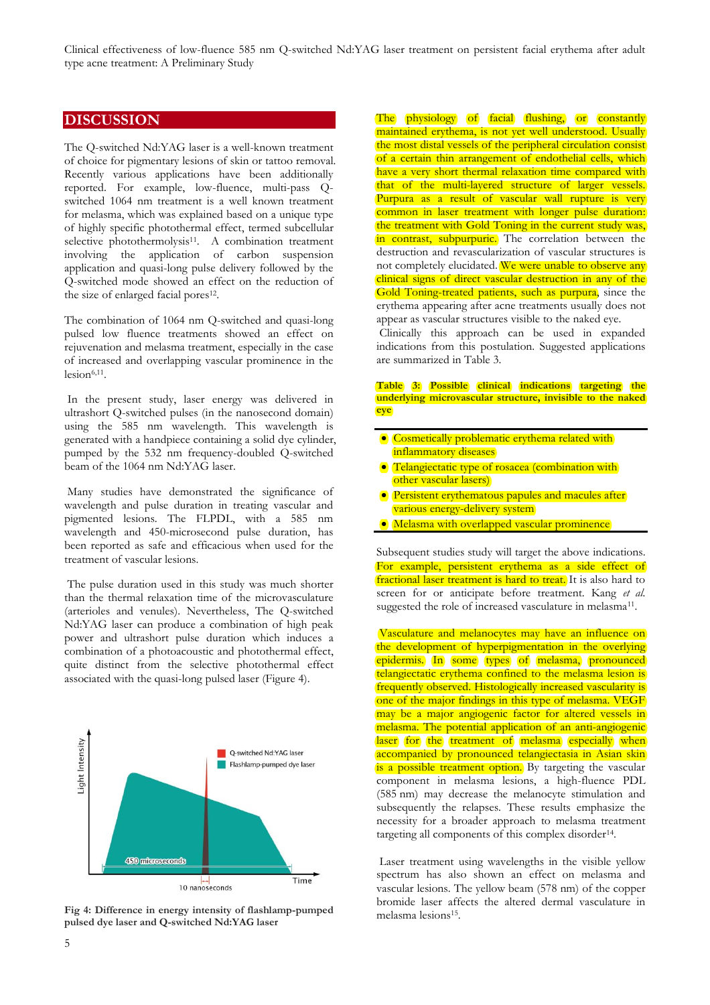## **DISCUSSION**

The Q-switched Nd:YAG laser is a well-known treatment of choice for pigmentary lesions of skin or tattoo removal. Recently various applications have been additionally reported. For example, low-fluence, multi-pass Qswitched 1064 nm treatment is a well known treatment for melasma, which was explained based on a unique type of highly specific photothermal effect, termed subcellular selective photothermolysis<sup>11</sup>. A combination treatment involving the application of carbon suspension application and quasi-long pulse delivery followed by the Q-switched mode showed an effect on the reduction of the size of enlarged facial pores<sup>12</sup>.

The combination of 1064 nm Q-switched and quasi-long pulsed low fluence treatments showed an effect on rejuvenation and melasma treatment, especially in the case of increased and overlapping vascular prominence in the  $lesion<sup>6,11</sup>$ .

In the present study, laser energy was delivered in ultrashort Q-switched pulses (in the nanosecond domain) using the 585 nm wavelength. This wavelength is generated with a handpiece containing a solid dye cylinder, pumped by the 532 nm frequency-doubled Q-switched beam of the 1064 nm Nd:YAG laser.

Many studies have demonstrated the significance of wavelength and pulse duration in treating vascular and pigmented lesions. The FLPDL, with a 585 nm wavelength and 450-microsecond pulse duration, has been reported as safe and efficacious when used for the treatment of vascular lesions.

The pulse duration used in this study was much shorter than the thermal relaxation time of the microvasculature (arterioles and venules). Nevertheless, The Q-switched Nd:YAG laser can produce a combination of high peak power and ultrashort pulse duration which induces a combination of a photoacoustic and photothermal effect, quite distinct from the selective photothermal effect associated with the quasi-long pulsed laser (Figure 4).



**Fig 4: Difference in energy intensity of flashlamp-pumped pulsed dye laser and Q-switched Nd:YAG laser**

The physiology of facial flushing, or constantly maintained erythema, is not yet well understood. Usually the most distal vessels of the peripheral circulation consist of a certain thin arrangement of endothelial cells, which have a very short thermal relaxation time compared with that of the multi-layered structure of larger vessels. Purpura as a result of vascular wall rupture is very common in laser treatment with longer pulse duration: the treatment with Gold Toning in the current study was, in contrast, subpurpuric. The correlation between the destruction and revascularization of vascular structures is not completely elucidated. We were unable to observe any clinical signs of direct vascular destruction in any of the Gold Toning-treated patients, such as purpura, since the erythema appearing after acne treatments usually does not appear as vascular structures visible to the naked eye.

Clinically this approach can be used in expanded indications from this postulation. Suggested applications are summarized in Table 3.

#### **Table 3: Possible clinical indications targeting the underlying microvascular structure, invisible to the naked eye**

- Cosmetically problematic erythema related with inflammatory diseases
- Telangiectatic type of rosacea (combination with other vascular lasers)
- **•** Persistent erythematous papules and macules after various energy-delivery system
- Melasma with overlapped vascular prominence

Subsequent studies study will target the above indications. For example, persistent erythema as a side effect of fractional laser treatment is hard to treat. It is also hard to screen for or anticipate before treatment. Kang *et al.* suggested the role of increased vasculature in melasma<sup>11</sup>.

Vasculature and melanocytes may have an influence on the development of hyperpigmentation in the overlying epidermis. In some types of melasma, pronounced telangiectatic erythema confined to the melasma lesion is frequently observed. Histologically increased vascularity is one of the major findings in this type of melasma. VEGF may be a major angiogenic factor for altered vessels in melasma. The potential application of an anti-angiogenic laser for the treatment of melasma especially when accompanied by pronounced telangiectasia in Asian skin is a possible treatment option. By targeting the vascular component in melasma lesions, a high-fluence PDL (585 nm) may decrease the melanocyte stimulation and subsequently the relapses. These results emphasize the necessity for a broader approach to melasma treatment targeting all components of this complex disorder<sup>14</sup>.

Laser treatment using wavelengths in the visible yellow spectrum has also shown an effect on melasma and vascular lesions. The yellow beam (578 nm) of the copper bromide laser affects the altered dermal vasculature in melasma lesions<sup>15</sup> .